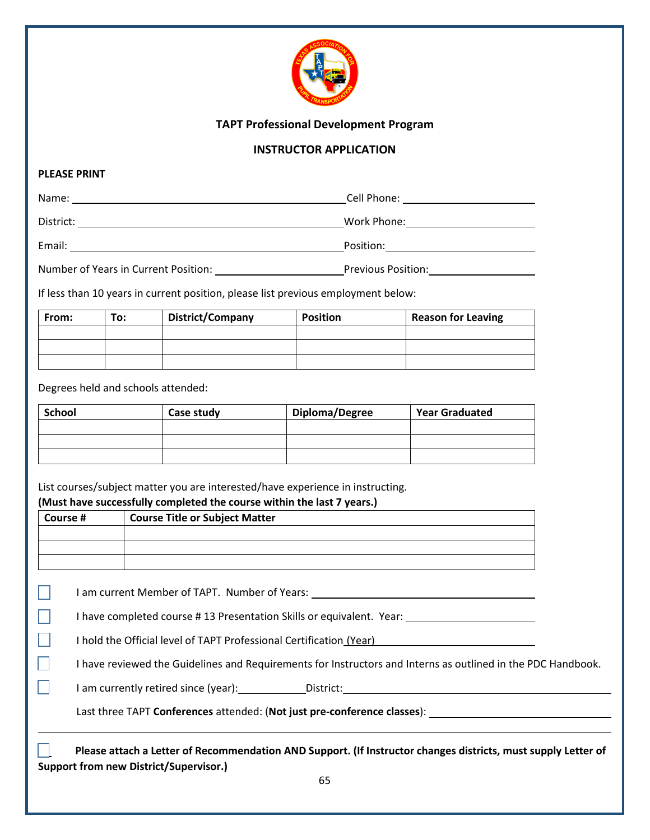

## **TAPT Professional Development Program**

## **INSTRUCTOR APPLICATION**

## **PLEASE PRINT**

 $\Box$ 

 $\Box$ 

П

| Name:     | Cell Phone: |
|-----------|-------------|
| District: | Work Phone: |
| Email:    | Position:   |

Number of Years in Current Position: Previous Position:

If less than 10 years in current position, please list previous employment below:

| From: | To: | District/Company | <b>Position</b> | <b>Reason for Leaving</b> |
|-------|-----|------------------|-----------------|---------------------------|
|       |     |                  |                 |                           |
|       |     |                  |                 |                           |
|       |     |                  |                 |                           |

Degrees held and schools attended:

| <b>School</b> | Case study | Diploma/Degree | <b>Year Graduated</b> |
|---------------|------------|----------------|-----------------------|
|               |            |                |                       |
|               |            |                |                       |
|               |            |                |                       |

List courses/subject matter you are interested/have experience in instructing. **(Must have successfully completed the course within the last 7 years.)**

| Course # | <b>Course Title or Subject Matter</b> |
|----------|---------------------------------------|
|          |                                       |
|          |                                       |
|          |                                       |

I am current Member of TAPT. Number of Years:

I have completed course # 13 Presentation Skills or equivalent. Year:

I hold the Official level of TAPT Professional Certification (Year)

I have reviewed the Guidelines and Requirements for Instructors and Interns as outlined in the PDC Handbook.

I am currently retired since (year): District:

Last three TAPT **Conferences** attended: (**Not just pre-conference classes**):

 **Please attach a Letter of Recommendation AND Support. (If Instructor changes districts, must supply Letter of Support from new District/Supervisor.)**